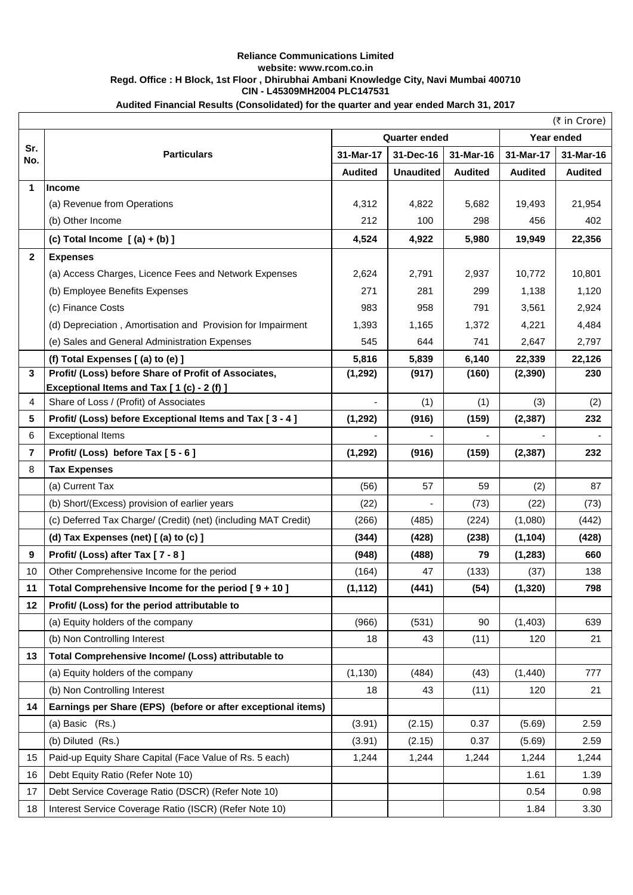## **Reliance Communications Limited website: www.rcom.co.in Regd. Office : H Block, 1st Floor , Dhirubhai Ambani Knowledge City, Navi Mumbai 400710 CIN - L45309MH2004 PLC147531**

## **Audited Financial Results (Consolidated) for the quarter and year ended March 31, 2017**

|              |                                                                                                 |                      |                  |                |                | (₹ in Crore)   |  |
|--------------|-------------------------------------------------------------------------------------------------|----------------------|------------------|----------------|----------------|----------------|--|
|              |                                                                                                 | <b>Quarter ended</b> |                  |                |                | Year ended     |  |
| Sr.<br>No.   | <b>Particulars</b>                                                                              | 31-Mar-17            | 31-Dec-16        | 31-Mar-16      | 31-Mar-17      | 31-Mar-16      |  |
|              |                                                                                                 | <b>Audited</b>       | <b>Unaudited</b> | <b>Audited</b> | <b>Audited</b> | <b>Audited</b> |  |
| 1            | <b>Income</b>                                                                                   |                      |                  |                |                |                |  |
|              | (a) Revenue from Operations                                                                     | 4,312                | 4,822            | 5,682          | 19,493         | 21,954         |  |
|              | (b) Other Income                                                                                | 212                  | 100              | 298            | 456            | 402            |  |
|              | (c) Total Income $(a) + (b)$ ]                                                                  | 4,524                | 4,922            | 5,980          | 19,949         | 22,356         |  |
| $\mathbf{2}$ | <b>Expenses</b>                                                                                 |                      |                  |                |                |                |  |
|              | (a) Access Charges, Licence Fees and Network Expenses                                           | 2,624                | 2,791            | 2,937          | 10,772         | 10,801         |  |
|              | (b) Employee Benefits Expenses                                                                  | 271                  | 281              | 299            | 1,138          | 1,120          |  |
|              | (c) Finance Costs                                                                               | 983                  | 958              | 791            | 3,561          | 2,924          |  |
|              | (d) Depreciation, Amortisation and Provision for Impairment                                     | 1,393                | 1,165            | 1,372          | 4,221          | 4,484          |  |
|              | (e) Sales and General Administration Expenses                                                   | 545                  | 644              | 741            | 2,647          | 2,797          |  |
|              | (f) Total Expenses [(a) to (e) ]                                                                | 5,816                | 5,839            | 6,140          | 22,339         | 22,126         |  |
| 3            | Profit/ (Loss) before Share of Profit of Associates,<br>Exceptional Items and Tax [1(c) - 2(f)] | (1, 292)             | (917)            | (160)          | (2, 390)       | 230            |  |
| 4            | Share of Loss / (Profit) of Associates                                                          |                      | (1)              | (1)            | (3)            | (2)            |  |
| 5            | Profit/ (Loss) before Exceptional Items and Tax [3 - 4]                                         | (1, 292)             | (916)            | (159)          | (2, 387)       | 232            |  |
| 6            | <b>Exceptional Items</b>                                                                        |                      |                  |                |                |                |  |
| 7            | Profit/ (Loss) before Tax [5 - 6]                                                               | (1, 292)             | (916)            | (159)          | (2, 387)       | 232            |  |
| 8            | <b>Tax Expenses</b>                                                                             |                      |                  |                |                |                |  |
|              | (a) Current Tax                                                                                 | (56)                 | 57               | 59             | (2)            | 87             |  |
|              | (b) Short/(Excess) provision of earlier years                                                   | (22)                 |                  | (73)           | (22)           | (73)           |  |
|              | (c) Deferred Tax Charge/ (Credit) (net) (including MAT Credit)                                  | (266)                | (485)            | (224)          | (1,080)        | (442)          |  |
|              | (d) Tax Expenses (net) [(a) to (c) ]                                                            | (344)                | (428)            | (238)          | (1, 104)       | (428)          |  |
| 9            | Profit/ (Loss) after Tax [7 - 8]                                                                | (948)                | (488)            | 79             | (1, 283)       | 660            |  |
| 10           | Other Comprehensive Income for the period                                                       | (164)                | 47               | (133)          | (37)           | 138            |  |
| 11           | Total Comprehensive Income for the period $[9 + 10]$                                            | (1, 112)             | (441)            | (54)           | (1,320)        | 798            |  |
| 12           | Profit/ (Loss) for the period attributable to                                                   |                      |                  |                |                |                |  |
|              | (a) Equity holders of the company                                                               | (966)                | (531)            | 90             | (1,403)        | 639            |  |
|              | (b) Non Controlling Interest                                                                    | 18                   | 43               | (11)           | 120            | 21             |  |
| 13           | Total Comprehensive Income/ (Loss) attributable to                                              |                      |                  |                |                |                |  |
|              | (a) Equity holders of the company                                                               | (1, 130)             | (484)            | (43)           | (1,440)        | 777            |  |
|              | (b) Non Controlling Interest                                                                    | 18                   | 43               | (11)           | 120            | 21             |  |
| 14           | Earnings per Share (EPS) (before or after exceptional items)                                    |                      |                  |                |                |                |  |
|              | (a) Basic (Rs.)                                                                                 | (3.91)               | (2.15)           | 0.37           | (5.69)         | 2.59           |  |
|              | (b) Diluted (Rs.)                                                                               | (3.91)               | (2.15)           | 0.37           | (5.69)         | 2.59           |  |
| 15           | Paid-up Equity Share Capital (Face Value of Rs. 5 each)                                         | 1,244                | 1,244            | 1,244          | 1,244          | 1,244          |  |
| 16           | Debt Equity Ratio (Refer Note 10)                                                               |                      |                  |                | 1.61           | 1.39           |  |
| 17           | Debt Service Coverage Ratio (DSCR) (Refer Note 10)                                              |                      |                  |                | 0.54           | 0.98           |  |
| 18           | Interest Service Coverage Ratio (ISCR) (Refer Note 10)                                          |                      |                  |                | 1.84           | 3.30           |  |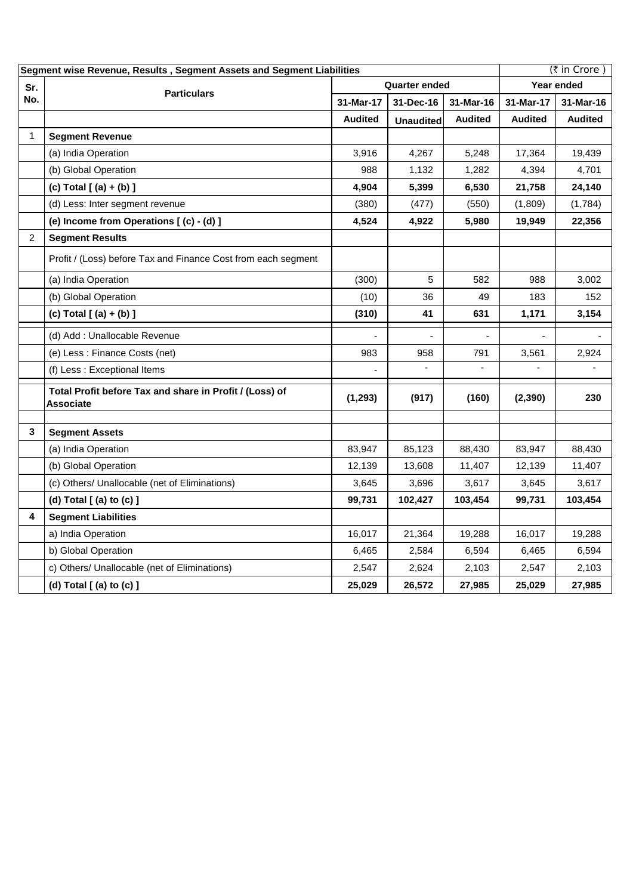| Segment wise Revenue, Results, Segment Assets and Segment Liabilities |                                                                      |                |                  |                | (₹ in Crore)   |                |
|-----------------------------------------------------------------------|----------------------------------------------------------------------|----------------|------------------|----------------|----------------|----------------|
| Sr.                                                                   | <b>Particulars</b>                                                   | Quarter ended  |                  |                | Year ended     |                |
| No.                                                                   |                                                                      | 31-Mar-17      | 31-Dec-16        | 31-Mar-16      | 31-Mar-17      | 31-Mar-16      |
|                                                                       |                                                                      | <b>Audited</b> | <b>Unaudited</b> | <b>Audited</b> | <b>Audited</b> | <b>Audited</b> |
| 1                                                                     | <b>Segment Revenue</b>                                               |                |                  |                |                |                |
|                                                                       | (a) India Operation                                                  | 3,916          | 4,267            | 5,248          | 17,364         | 19,439         |
|                                                                       | (b) Global Operation                                                 | 988            | 1,132            | 1,282          | 4,394          | 4,701          |
|                                                                       | (c) Total $[ (a) + (b) ]$                                            | 4,904          | 5,399            | 6,530          | 21,758         | 24,140         |
|                                                                       | (d) Less: Inter segment revenue                                      | (380)          | (477)            | (550)          | (1,809)        | (1,784)        |
|                                                                       | (e) Income from Operations [(c) - (d) ]                              | 4,524          | 4,922            | 5,980          | 19,949         | 22,356         |
| $\overline{c}$                                                        | <b>Segment Results</b>                                               |                |                  |                |                |                |
|                                                                       | Profit / (Loss) before Tax and Finance Cost from each segment        |                |                  |                |                |                |
|                                                                       | (a) India Operation                                                  | (300)          | 5                | 582            | 988            | 3,002          |
|                                                                       | (b) Global Operation                                                 | (10)           | 36               | 49             | 183            | 152            |
|                                                                       | (c) Total [(a) + (b) ]                                               | (310)          | 41               | 631            | 1,171          | 3,154          |
|                                                                       | (d) Add: Unallocable Revenue                                         |                |                  |                |                |                |
|                                                                       | (e) Less : Finance Costs (net)                                       | 983            | 958              | 791            | 3,561          | 2,924          |
|                                                                       | (f) Less : Exceptional Items                                         |                |                  |                |                |                |
|                                                                       | Total Profit before Tax and share in Profit / (Loss) of<br>Associate | (1, 293)       | (917)            | (160)          | (2, 390)       | 230            |
| 3                                                                     | <b>Segment Assets</b>                                                |                |                  |                |                |                |
|                                                                       | (a) India Operation                                                  | 83,947         | 85,123           | 88,430         | 83,947         | 88,430         |
|                                                                       | (b) Global Operation                                                 | 12,139         | 13,608           | 11,407         | 12,139         | 11,407         |
|                                                                       | (c) Others/ Unallocable (net of Eliminations)                        | 3,645          | 3,696            | 3,617          | 3,645          | 3,617          |
|                                                                       | (d) Total [ (a) to (c) ]                                             | 99,731         | 102,427          | 103,454        | 99,731         | 103,454        |
| 4                                                                     | <b>Segment Liabilities</b>                                           |                |                  |                |                |                |
|                                                                       | a) India Operation                                                   | 16,017         | 21,364           | 19,288         | 16,017         | 19,288         |
|                                                                       | b) Global Operation                                                  | 6,465          | 2,584            | 6,594          | 6,465          | 6,594          |
|                                                                       | c) Others/ Unallocable (net of Eliminations)                         | 2,547          | 2,624            | 2,103          | 2,547          | 2,103          |
|                                                                       | (d) Total $[$ (a) to $(c)$ $]$                                       | 25,029         | 26,572           | 27,985         | 25,029         | 27,985         |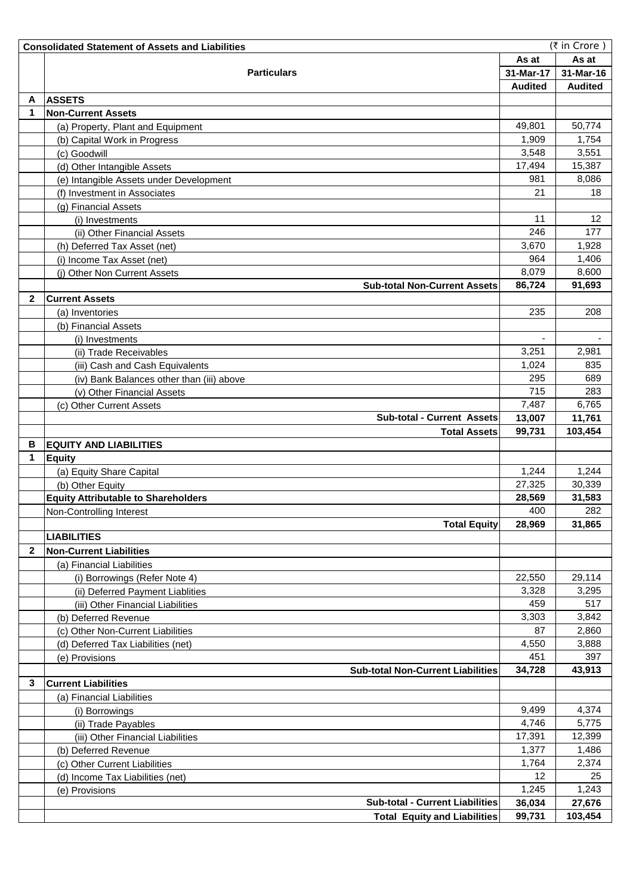|              | (₹ in Crore)<br><b>Consolidated Statement of Assets and Liabilities</b> |                |                |  |  |  |
|--------------|-------------------------------------------------------------------------|----------------|----------------|--|--|--|
|              |                                                                         | As at          | As at          |  |  |  |
|              | <b>Particulars</b>                                                      | 31-Mar-17      | 31-Mar-16      |  |  |  |
|              |                                                                         | <b>Audited</b> | <b>Audited</b> |  |  |  |
| A            | <b>ASSETS</b>                                                           |                |                |  |  |  |
| 1            | <b>Non-Current Assets</b>                                               |                |                |  |  |  |
|              | (a) Property, Plant and Equipment                                       | 49,801         | 50,774         |  |  |  |
|              | (b) Capital Work in Progress                                            | 1,909          | 1,754          |  |  |  |
|              | (c) Goodwill                                                            | 3,548          | 3,551          |  |  |  |
|              | (d) Other Intangible Assets                                             | 17,494         | 15,387         |  |  |  |
|              | (e) Intangible Assets under Development                                 | 981            | 8,086          |  |  |  |
|              | (f) Investment in Associates                                            | 21             | 18             |  |  |  |
|              | (g) Financial Assets                                                    |                |                |  |  |  |
|              | (i) Investments                                                         | 11             | 12             |  |  |  |
|              | (ii) Other Financial Assets                                             | 246            | 177            |  |  |  |
|              | (h) Deferred Tax Asset (net)                                            | 3,670          | 1,928          |  |  |  |
|              | (i) Income Tax Asset (net)                                              | 964            | 1,406          |  |  |  |
|              | (j) Other Non Current Assets                                            | 8,079          | 8,600          |  |  |  |
|              | <b>Sub-total Non-Current Assets</b>                                     | 86,724         | 91,693         |  |  |  |
| $\mathbf{2}$ | <b>Current Assets</b>                                                   |                |                |  |  |  |
|              | (a) Inventories                                                         | 235            | 208            |  |  |  |
|              | (b) Financial Assets                                                    |                |                |  |  |  |
|              | (i) Investments                                                         |                |                |  |  |  |
|              | (ii) Trade Receivables                                                  | 3,251          | 2,981          |  |  |  |
|              | (iii) Cash and Cash Equivalents                                         | 1,024          | 835            |  |  |  |
|              | (iv) Bank Balances other than (iii) above                               | 295            | 689            |  |  |  |
|              | (v) Other Financial Assets                                              | 715            | 283            |  |  |  |
|              | (c) Other Current Assets                                                | 7,487          | 6,765          |  |  |  |
|              | <b>Sub-total - Current Assets</b>                                       | 13,007         | 11,761         |  |  |  |
|              | <b>Total Assets</b>                                                     | 99,731         | 103,454        |  |  |  |
| в            | <b>EQUITY AND LIABILITIES</b>                                           |                |                |  |  |  |
| 1            | <b>Equity</b>                                                           |                |                |  |  |  |
|              | (a) Equity Share Capital                                                | 1,244          | 1,244          |  |  |  |
|              | (b) Other Equity                                                        | 27,325         | 30,339         |  |  |  |
|              | <b>Equity Attributable to Shareholders</b>                              | 28,569         | 31,583         |  |  |  |
|              | Non-Controlling Interest                                                | 400            | 282            |  |  |  |
|              | <b>Total Equity</b>                                                     | 28,969         | 31,865         |  |  |  |
|              | <b>LIABILITIES</b>                                                      |                |                |  |  |  |
| $\mathbf{2}$ | <b>Non-Current Liabilities</b>                                          |                |                |  |  |  |
|              | (a) Financial Liabilities                                               |                |                |  |  |  |
|              | (i) Borrowings (Refer Note 4)                                           | 22,550         | 29,114         |  |  |  |
|              | (ii) Deferred Payment Liablities                                        | 3,328          | 3,295          |  |  |  |
|              | (iii) Other Financial Liabilities                                       | 459            | 517            |  |  |  |
|              | (b) Deferred Revenue                                                    | 3,303          | 3,842          |  |  |  |
|              | (c) Other Non-Current Liabilities                                       | 87             | 2,860          |  |  |  |
|              | (d) Deferred Tax Liabilities (net)                                      | 4,550          | 3,888          |  |  |  |
|              |                                                                         | 451            | 397            |  |  |  |
|              | (e) Provisions<br><b>Sub-total Non-Current Liabilities</b>              | 34,728         | 43,913         |  |  |  |
| 3            | <b>Current Liabilities</b>                                              |                |                |  |  |  |
|              | (a) Financial Liabilities                                               |                |                |  |  |  |
|              | (i) Borrowings                                                          | 9,499          | 4,374          |  |  |  |
|              | (ii) Trade Payables                                                     | 4,746          | 5,775          |  |  |  |
|              | (iii) Other Financial Liabilities                                       | 17,391         | 12,399         |  |  |  |
|              | (b) Deferred Revenue                                                    | 1,377          | 1,486          |  |  |  |
|              |                                                                         | 1,764          | 2,374          |  |  |  |
|              | (c) Other Current Liabilities                                           | 12             | 25             |  |  |  |
|              | (d) Income Tax Liabilities (net)                                        | 1,245          | 1,243          |  |  |  |
|              | (e) Provisions<br><b>Sub-total - Current Liabilities</b>                |                |                |  |  |  |
|              |                                                                         | 36,034         | 27,676         |  |  |  |
|              | <b>Total Equity and Liabilities</b>                                     | 99,731         | 103,454        |  |  |  |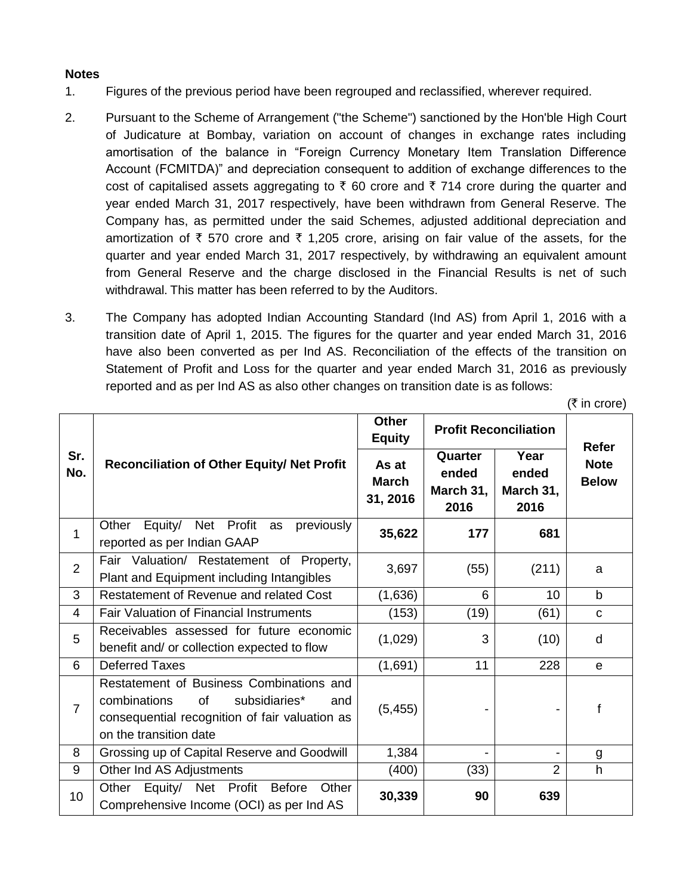## **Notes**

- 1. Figures of the previous period have been regrouped and reclassified, wherever required.
- 2. Pursuant to the Scheme of Arrangement ("the Scheme") sanctioned by the Hon'ble High Court of Judicature at Bombay, variation on account of changes in exchange rates including amortisation of the balance in "Foreign Currency Monetary Item Translation Difference Account (FCMITDA)" and depreciation consequent to addition of exchange differences to the cost of capitalised assets aggregating to  $\bar{\tau}$  60 crore and  $\bar{\tau}$  714 crore during the quarter and year ended March 31, 2017 respectively, have been withdrawn from General Reserve. The Company has, as permitted under the said Schemes, adjusted additional depreciation and amortization of  $\bar{\tau}$  570 crore and  $\bar{\tau}$  1,205 crore, arising on fair value of the assets, for the quarter and year ended March 31, 2017 respectively, by withdrawing an equivalent amount from General Reserve and the charge disclosed in the Financial Results is net of such withdrawal. This matter has been referred to by the Auditors.
- 3. The Company has adopted Indian Accounting Standard (Ind AS) from April 1, 2016 with a transition date of April 1, 2015. The figures for the quarter and year ended March 31, 2016 have also been converted as per Ind AS. Reconciliation of the effects of the transition on Statement of Profit and Loss for the quarter and year ended March 31, 2016 as previously reported and as per Ind AS as also other changes on transition date is as follows:

 $($ ₹ in crore)

|                 | <b>Reconciliation of Other Equity/ Net Profit</b>                                                                                                                  | <b>Other</b><br><b>Equity</b>     | <b>Profit Reconciliation</b>          |                                    |                                             |
|-----------------|--------------------------------------------------------------------------------------------------------------------------------------------------------------------|-----------------------------------|---------------------------------------|------------------------------------|---------------------------------------------|
| Sr.<br>No.      |                                                                                                                                                                    | As at<br><b>March</b><br>31, 2016 | Quarter<br>ended<br>March 31,<br>2016 | Year<br>ended<br>March 31,<br>2016 | <b>Refer</b><br><b>Note</b><br><b>Below</b> |
| 1               | Equity/ Net Profit as<br>Other<br>previously<br>reported as per Indian GAAP                                                                                        | 35,622                            | 177                                   | 681                                |                                             |
| $\overline{2}$  | Fair Valuation/ Restatement of Property,<br>Plant and Equipment including Intangibles                                                                              | 3,697                             | (55)                                  | (211)                              | a                                           |
| 3               | Restatement of Revenue and related Cost                                                                                                                            | (1,636)                           | 6                                     | 10                                 | $\mathbf b$                                 |
| 4               | <b>Fair Valuation of Financial Instruments</b>                                                                                                                     | (153)                             | (19)                                  | (61)                               | $\mathbf C$                                 |
| 5               | Receivables assessed for future economic<br>benefit and/ or collection expected to flow                                                                            | (1,029)                           | 3                                     | (10)                               | d                                           |
| 6               | <b>Deferred Taxes</b>                                                                                                                                              | (1,691)                           | 11                                    | 228                                | e                                           |
| $\overline{7}$  | Restatement of Business Combinations and<br>of<br>subsidiaries*<br>combinations<br>and<br>consequential recognition of fair valuation as<br>on the transition date | (5, 455)                          |                                       |                                    | f                                           |
| 8               | Grossing up of Capital Reserve and Goodwill                                                                                                                        | 1,384                             |                                       |                                    | g                                           |
| 9               | Other Ind AS Adjustments                                                                                                                                           | (400)                             | (33)                                  | $\overline{2}$                     | h                                           |
| 10 <sup>1</sup> | Equity/ Net Profit<br><b>Before</b><br>Other<br>Other<br>Comprehensive Income (OCI) as per Ind AS                                                                  | 30,339                            | 90                                    | 639                                |                                             |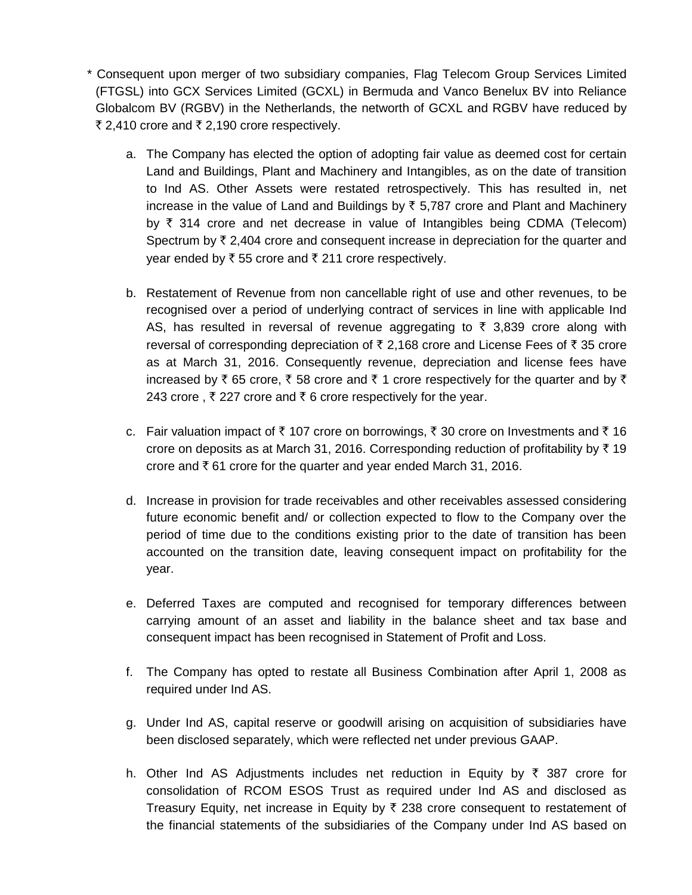\* Consequent upon merger of two subsidiary companies, Flag Telecom Group Services Limited (FTGSL) into GCX Services Limited (GCXL) in Bermuda and Vanco Benelux BV into Reliance Globalcom BV (RGBV) in the Netherlands, the networth of GCXL and RGBV have reduced by ₹ 2,410 crore and ₹ 2,190 crore respectively.

- a. The Company has elected the option of adopting fair value as deemed cost for certain Land and Buildings, Plant and Machinery and Intangibles, as on the date of transition to Ind AS. Other Assets were restated retrospectively. This has resulted in, net increase in the value of Land and Buildings by  $\bar{\tau}$  5,787 crore and Plant and Machinery by  $\overline{\zeta}$  314 crore and net decrease in value of Intangibles being CDMA (Telecom) Spectrum by  $\bar{\tau}$  2,404 crore and consequent increase in depreciation for the quarter and year ended by  $\bar{\tau}$  55 crore and  $\bar{\tau}$  211 crore respectively.
- b. Restatement of Revenue from non cancellable right of use and other revenues, to be recognised over a period of underlying contract of services in line with applicable Ind AS, has resulted in reversal of revenue aggregating to  $\bar{\tau}$  3,839 crore along with reversal of corresponding depreciation of  $\bar{\tau}$  2,168 crore and License Fees of  $\bar{\tau}$  35 crore as at March 31, 2016. Consequently revenue, depreciation and license fees have increased by  $\bar{\xi}$  65 crore,  $\bar{\xi}$  58 crore and  $\bar{\xi}$  1 crore respectively for the quarter and by  $\bar{\xi}$ 243 crore, ₹227 crore and ₹6 crore respectively for the year.
- c. Fair valuation impact of  $\bar{\tau}$  107 crore on borrowings,  $\bar{\tau}$  30 crore on Investments and  $\bar{\tau}$  16 crore on deposits as at March 31, 2016. Corresponding reduction of profitability by  $\bar{\tau}$  19 crore and  $\bar{\tau}$  61 crore for the quarter and year ended March 31, 2016.
- d. Increase in provision for trade receivables and other receivables assessed considering future economic benefit and/ or collection expected to flow to the Company over the period of time due to the conditions existing prior to the date of transition has been accounted on the transition date, leaving consequent impact on profitability for the year.
- e. Deferred Taxes are computed and recognised for temporary differences between carrying amount of an asset and liability in the balance sheet and tax base and consequent impact has been recognised in Statement of Profit and Loss.
- f. The Company has opted to restate all Business Combination after April 1, 2008 as required under Ind AS.
- g. Under Ind AS, capital reserve or goodwill arising on acquisition of subsidiaries have been disclosed separately, which were reflected net under previous GAAP.
- h. Other Ind AS Adjustments includes net reduction in Equity by  $\bar{\tau}$  387 crore for consolidation of RCOM ESOS Trust as required under Ind AS and disclosed as Treasury Equity, net increase in Equity by  $\bar{\tau}$  238 crore consequent to restatement of the financial statements of the subsidiaries of the Company under Ind AS based on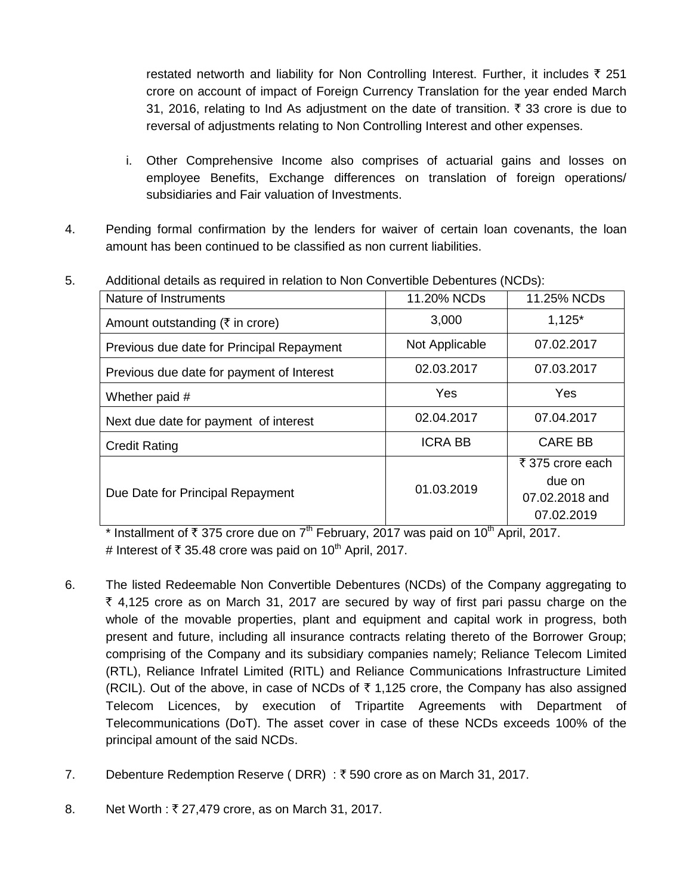restated networth and liability for Non Controlling Interest. Further, it includes  $\bar{\tau}$  251 crore on account of impact of Foreign Currency Translation for the year ended March 31, 2016, relating to Ind As adjustment on the date of transition.  $\bar{\tau}$  33 crore is due to reversal of adjustments relating to Non Controlling Interest and other expenses.

- i. Other Comprehensive Income also comprises of actuarial gains and losses on employee Benefits, Exchange differences on translation of foreign operations/ subsidiaries and Fair valuation of Investments.
- 4. Pending formal confirmation by the lenders for waiver of certain loan covenants, the loan amount has been continued to be classified as non current liabilities.

| Nature of Instruments                     | 11.20% NCDs    | 11.25% NCDs                                                |  |  |  |
|-------------------------------------------|----------------|------------------------------------------------------------|--|--|--|
| Amount outstanding (₹ in crore)           | 3,000          | $1,125*$                                                   |  |  |  |
| Previous due date for Principal Repayment | Not Applicable | 07.02.2017                                                 |  |  |  |
| Previous due date for payment of Interest | 02.03.2017     | 07.03.2017                                                 |  |  |  |
| Whether paid #                            | Yes            | Yes                                                        |  |  |  |
| Next due date for payment of interest     | 02.04.2017     | 07.04.2017                                                 |  |  |  |
| <b>Credit Rating</b>                      | <b>ICRA BB</b> | <b>CARE BB</b>                                             |  |  |  |
| Due Date for Principal Repayment          | 01.03.2019     | ₹ 375 crore each<br>due on<br>07.02.2018 and<br>07.02.2019 |  |  |  |

5. Additional details as required in relation to Non Convertible Debentures (NCDs):

\* Installment of  $\bar{\tau}$  375 crore due on 7<sup>th</sup> February, 2017 was paid on 10<sup>th</sup> April, 2017. # Interest of  $\bar{\tau}$  35.48 crore was paid on 10<sup>th</sup> April, 2017.

- 6. The listed Redeemable Non Convertible Debentures (NCDs) of the Company aggregating to  $\bar{\tau}$  4,125 crore as on March 31, 2017 are secured by way of first pari passu charge on the whole of the movable properties, plant and equipment and capital work in progress, both present and future, including all insurance contracts relating thereto of the Borrower Group; comprising of the Company and its subsidiary companies namely; Reliance Telecom Limited (RTL), Reliance Infratel Limited (RITL) and Reliance Communications Infrastructure Limited (RCIL). Out of the above, in case of NCDs of  $\bar{\tau}$  1,125 crore, the Company has also assigned Telecom Licences, by execution of Tripartite Agreements with Department of Telecommunications (DoT). The asset cover in case of these NCDs exceeds 100% of the principal amount of the said NCDs.
- 7. Debenture Redemption Reserve (DRR):  $\bar{\tau}$  590 crore as on March 31, 2017.
- 8. Net Worth : ₹ 27,479 crore, as on March 31, 2017.